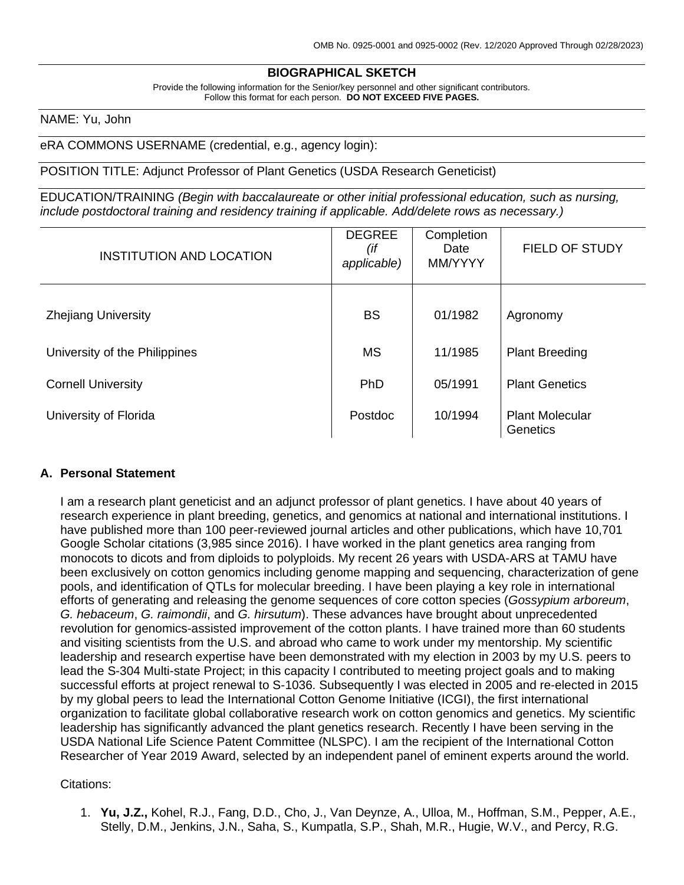### **BIOGRAPHICAL SKETCH**

Provide the following information for the Senior/key personnel and other significant contributors. Follow this format for each person. **DO NOT EXCEED FIVE PAGES.**

#### NAME: Yu, John

#### eRA COMMONS USERNAME (credential, e.g., agency login):

#### POSITION TITLE: Adjunct Professor of Plant Genetics (USDA Research Geneticist)

EDUCATION/TRAINING *(Begin with baccalaureate or other initial professional education, such as nursing, include postdoctoral training and residency training if applicable. Add/delete rows as necessary.)*

| <b>INSTITUTION AND LOCATION</b> | <b>DEGREE</b><br>(if<br>applicable) | Completion<br>Date<br>MM/YYYY | <b>FIELD OF STUDY</b>              |
|---------------------------------|-------------------------------------|-------------------------------|------------------------------------|
| <b>Zhejiang University</b>      | <b>BS</b>                           | 01/1982                       | Agronomy                           |
| University of the Philippines   | <b>MS</b>                           | 11/1985                       | <b>Plant Breeding</b>              |
| <b>Cornell University</b>       | PhD                                 | 05/1991                       | <b>Plant Genetics</b>              |
| University of Florida           | Postdoc                             | 10/1994                       | <b>Plant Molecular</b><br>Genetics |

### **A. Personal Statement**

I am a research plant geneticist and an adjunct professor of plant genetics. I have about 40 years of research experience in plant breeding, genetics, and genomics at national and international institutions. I have published more than 100 peer-reviewed journal articles and other publications, which have 10,701 Google Scholar citations (3,985 since 2016). I have worked in the plant genetics area ranging from monocots to dicots and from diploids to polyploids. My recent 26 years with USDA-ARS at TAMU have been exclusively on cotton genomics including genome mapping and sequencing, characterization of gene pools, and identification of QTLs for molecular breeding. I have been playing a key role in international efforts of generating and releasing the genome sequences of core cotton species (*Gossypium arboreum*, *G. hebaceum*, *G. raimondii*, and *G. hirsutum*). These advances have brought about unprecedented revolution for genomics-assisted improvement of the cotton plants. I have trained more than 60 students and visiting scientists from the U.S. and abroad who came to work under my mentorship. My scientific leadership and research expertise have been demonstrated with my election in 2003 by my U.S. peers to lead the S-304 Multi-state Project; in this capacity I contributed to meeting project goals and to making successful efforts at project renewal to S-1036. Subsequently I was elected in 2005 and re-elected in 2015 by my global peers to lead the International Cotton Genome Initiative (ICGI), the first international organization to facilitate global collaborative research work on cotton genomics and genetics. My scientific leadership has significantly advanced the plant genetics research. Recently I have been serving in the USDA National Life Science Patent Committee (NLSPC). I am the recipient of the International Cotton Researcher of Year 2019 Award, selected by an independent panel of eminent experts around the world.

#### Citations:

1. **Yu, J.Z.,** Kohel, R.J., Fang, D.D., Cho, J., Van Deynze, A., Ulloa, M., Hoffman, S.M., Pepper, A.E., Stelly, D.M., Jenkins, J.N., Saha, S., Kumpatla, S.P., Shah, M.R., Hugie, W.V., and Percy, R.G.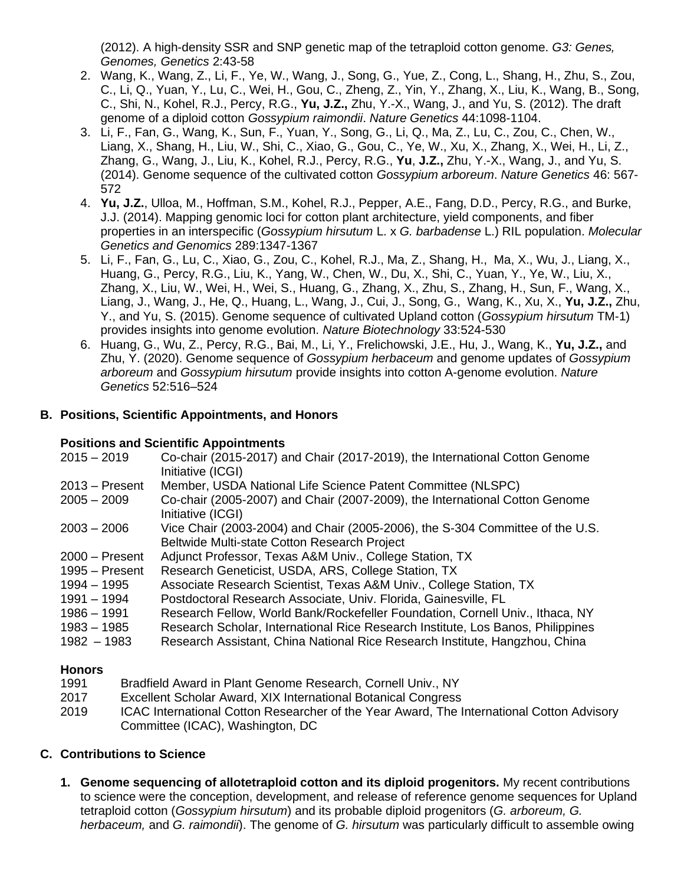(2012). A high-density SSR and SNP genetic map of the tetraploid cotton genome. *G3: Genes, Genomes, Genetics* 2:43-58

- 2. Wang, K., Wang, Z., Li, F., Ye, W., Wang, J., Song, G., Yue, Z., Cong, L., Shang, H., Zhu, S., Zou, C., Li, Q., Yuan, Y., Lu, C., Wei, H., Gou, C., Zheng, Z., Yin, Y., Zhang, X., Liu, K., Wang, B., Song, C., Shi, N., Kohel, R.J., Percy, R.G., **Yu, J.Z.,** Zhu, Y.-X., Wang, J., and Yu, S. (2012). The draft genome of a diploid cotton *Gossypium raimondii*. *Nature Genetics* 44:1098-1104.
- 3. Li, F., Fan, G., Wang, K., Sun, F., Yuan, Y., Song, G., Li, Q., Ma, Z., Lu, C., Zou, C., Chen, W., Liang, X., Shang, H., Liu, W., Shi, C., Xiao, G., Gou, C., Ye, W., Xu, X., Zhang, X., Wei, H., Li, Z., Zhang, G., Wang, J., Liu, K., Kohel, R.J., Percy, R.G., **Yu**, **J.Z.,** Zhu, Y.-X., Wang, J., and Yu, S. (2014). Genome sequence of the cultivated cotton *Gossypium arboreum*. *Nature Genetics* 46: 567- 572
- 4. **Yu, J.Z.**, Ulloa, M., Hoffman, S.M., Kohel, R.J., Pepper, A.E., Fang, D.D., Percy, R.G., and Burke, J.J. (2014). Mapping genomic loci for cotton plant architecture, yield components, and fiber properties in an interspecific (*Gossypium hirsutum* L. x *G. barbadense* L.) RIL population. *Molecular Genetics and Genomics* 289:1347-1367
- 5. Li, F., Fan, G., Lu, C., Xiao, G., Zou, C., Kohel, R.J., Ma, Z., Shang, H., Ma, X., Wu, J., Liang, X., Huang, G., Percy, R.G., Liu, K., Yang, W., Chen, W., Du, X., Shi, C., Yuan, Y., Ye, W., Liu, X., Zhang, X., Liu, W., Wei, H., Wei, S., Huang, G., Zhang, X., Zhu, S., Zhang, H., Sun, F., Wang, X., Liang, J., Wang, J., He, Q., Huang, L., Wang, J., Cui, J., Song, G., Wang, K., Xu, X., **Yu, J.Z.,** Zhu, Y., and Yu, S. (2015). Genome sequence of cultivated Upland cotton (*Gossypium hirsutum* TM-1) provides insights into genome evolution. *Nature Biotechnology* 33:524-530
- 6. Huang, G., Wu, Z., Percy, R.G., Bai, M., Li, Y., Frelichowski, J.E., Hu, J., Wang, K., **Yu, J.Z.,** and Zhu, Y. (2020). Genome sequence of *Gossypium herbaceum* and genome updates of *Gossypium arboreum* and *Gossypium hirsutum* provide insights into cotton A-genome evolution. *Nature Genetics* 52:516–524

## **B. Positions, Scientific Appointments, and Honors**

## **Positions and Scientific Appointments**

| $2015 - 2019$                        | Co-chair (2015-2017) and Chair (2017-2019), the International Cotton Genome<br>Initiative (ICGI)                              |
|--------------------------------------|-------------------------------------------------------------------------------------------------------------------------------|
| $2013 -$ Present                     | Member, USDA National Life Science Patent Committee (NLSPC)                                                                   |
| $2005 - 2009$                        | Co-chair (2005-2007) and Chair (2007-2009), the International Cotton Genome<br>Initiative (ICGI)                              |
| $2003 - 2006$                        | Vice Chair (2003-2004) and Chair (2005-2006), the S-304 Committee of the U.S.<br>Beltwide Multi-state Cotton Research Project |
| $2000 -$ Present<br>$1995 -$ Present | Adjunct Professor, Texas A&M Univ., College Station, TX<br>Research Geneticist, USDA, ARS, College Station, TX                |
| $1994 - 1995$                        | Associate Research Scientist, Texas A&M Univ., College Station, TX                                                            |
| 1991 - 1994                          | Postdoctoral Research Associate, Univ. Florida, Gainesville, FL                                                               |
| $1986 - 1991$                        | Research Fellow, World Bank/Rockefeller Foundation, Cornell Univ., Ithaca, NY                                                 |
| $1983 - 1985$                        | Research Scholar, International Rice Research Institute, Los Banos, Philippines                                               |
| $1982 - 1983$                        | Research Assistant, China National Rice Research Institute, Hangzhou, China                                                   |

## **Honors**

- 1991 Bradfield Award in Plant Genome Research, Cornell Univ., NY
- 2017 Excellent Scholar Award, XIX International Botanical Congress
- 2019 ICAC International Cotton Researcher of the Year Award, The International Cotton Advisory Committee (ICAC), Washington, DC

# **C. Contributions to Science**

**1. Genome sequencing of allotetraploid cotton and its diploid progenitors.** My recent contributions to science were the conception, development, and release of reference genome sequences for Upland tetraploid cotton (*Gossypium hirsutum*) and its probable diploid progenitors (*G. arboreum, G. herbaceum,* and *G. raimondii*). The genome of *G. hirsutum* was particularly difficult to assemble owing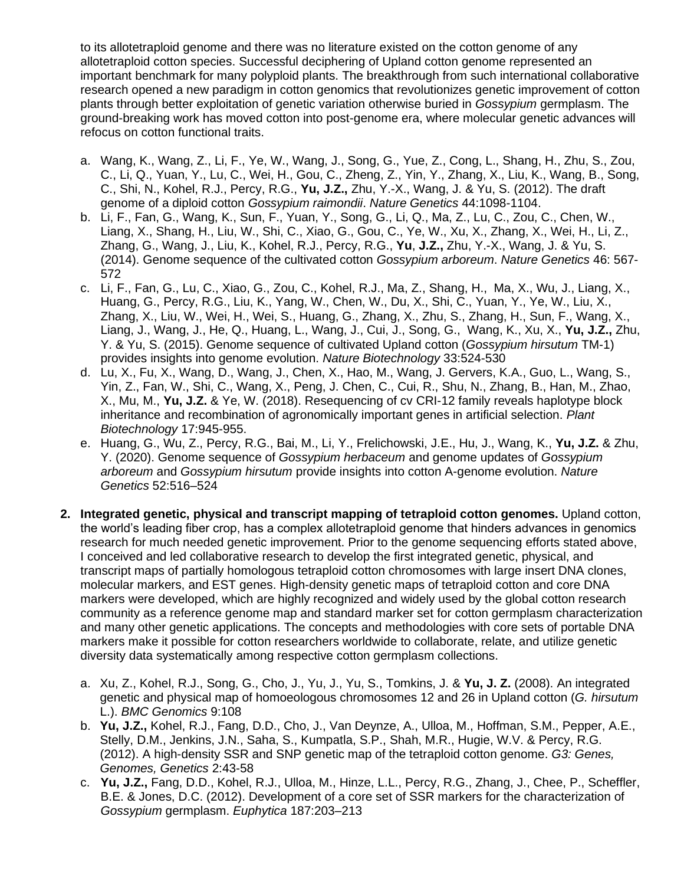to its allotetraploid genome and there was no literature existed on the cotton genome of any allotetraploid cotton species. Successful deciphering of Upland cotton genome represented an important benchmark for many polyploid plants. The breakthrough from such international collaborative research opened a new paradigm in cotton genomics that revolutionizes genetic improvement of cotton plants through better exploitation of genetic variation otherwise buried in *Gossypium* germplasm. The ground-breaking work has moved cotton into post-genome era, where molecular genetic advances will refocus on cotton functional traits.

- a. Wang, K., Wang, Z., Li, F., Ye, W., Wang, J., Song, G., Yue, Z., Cong, L., Shang, H., Zhu, S., Zou, C., Li, Q., Yuan, Y., Lu, C., Wei, H., Gou, C., Zheng, Z., Yin, Y., Zhang, X., Liu, K., Wang, B., Song, C., Shi, N., Kohel, R.J., Percy, R.G., **Yu, J.Z.,** Zhu, Y.-X., Wang, J. & Yu, S. (2012). The draft genome of a diploid cotton *Gossypium raimondii*. *Nature Genetics* 44:1098-1104.
- b. Li, F., Fan, G., Wang, K., Sun, F., Yuan, Y., Song, G., Li, Q., Ma, Z., Lu, C., Zou, C., Chen, W., Liang, X., Shang, H., Liu, W., Shi, C., Xiao, G., Gou, C., Ye, W., Xu, X., Zhang, X., Wei, H., Li, Z., Zhang, G., Wang, J., Liu, K., Kohel, R.J., Percy, R.G., **Yu**, **J.Z.,** Zhu, Y.-X., Wang, J. & Yu, S. (2014). Genome sequence of the cultivated cotton *Gossypium arboreum*. *Nature Genetics* 46: 567- 572
- c. Li, F., Fan, G., Lu, C., Xiao, G., Zou, C., Kohel, R.J., Ma, Z., Shang, H., Ma, X., Wu, J., Liang, X., Huang, G., Percy, R.G., Liu, K., Yang, W., Chen, W., Du, X., Shi, C., Yuan, Y., Ye, W., Liu, X., Zhang, X., Liu, W., Wei, H., Wei, S., Huang, G., Zhang, X., Zhu, S., Zhang, H., Sun, F., Wang, X., Liang, J., Wang, J., He, Q., Huang, L., Wang, J., Cui, J., Song, G., Wang, K., Xu, X., **Yu, J.Z.,** Zhu, Y. & Yu, S. (2015). Genome sequence of cultivated Upland cotton (*Gossypium hirsutum* TM-1) provides insights into genome evolution. *Nature Biotechnology* 33:524-530
- d. Lu, X., Fu, X., Wang, D., Wang, J., Chen, X., Hao, M., Wang, J. Gervers, K.A., Guo, L., Wang, S., Yin, Z., Fan, W., Shi, C., Wang, X., Peng, J. Chen, C., Cui, R., Shu, N., Zhang, B., Han, M., Zhao, X., Mu, M., **Yu, J.Z.** & Ye, W. (2018). Resequencing of cv CRI-12 family reveals haplotype block inheritance and recombination of agronomically important genes in artificial selection. *Plant Biotechnology* 17:945-955.
- e. Huang, G., Wu, Z., Percy, R.G., Bai, M., Li, Y., Frelichowski, J.E., Hu, J., Wang, K., **Yu, J.Z.** & Zhu, Y. (2020). Genome sequence of *Gossypium herbaceum* and genome updates of *Gossypium arboreum* and *Gossypium hirsutum* provide insights into cotton A-genome evolution. *Nature Genetics* 52:516–524
- **2. Integrated genetic, physical and transcript mapping of tetraploid cotton genomes.** Upland cotton, the world's leading fiber crop, has a complex allotetraploid genome that hinders advances in genomics research for much needed genetic improvement. Prior to the genome sequencing efforts stated above, I conceived and led collaborative research to develop the first integrated genetic, physical, and transcript maps of partially homologous tetraploid cotton chromosomes with large insert DNA clones, molecular markers, and EST genes. High-density genetic maps of tetraploid cotton and core DNA markers were developed, which are highly recognized and widely used by the global cotton research community as a reference genome map and standard marker set for cotton germplasm characterization and many other genetic applications. The concepts and methodologies with core sets of portable DNA markers make it possible for cotton researchers worldwide to collaborate, relate, and utilize genetic diversity data systematically among respective cotton germplasm collections.
	- a. Xu, Z., Kohel, R.J., Song, G., Cho, J., Yu, J., Yu, S., Tomkins, J. & **Yu, J. Z.** (2008). An integrated genetic and physical map of homoeologous chromosomes 12 and 26 in Upland cotton (*G. hirsutum* L.). *BMC Genomics* 9:108
	- b. **Yu, J.Z.,** Kohel, R.J., Fang, D.D., Cho, J., Van Deynze, A., Ulloa, M., Hoffman, S.M., Pepper, A.E., Stelly, D.M., Jenkins, J.N., Saha, S., Kumpatla, S.P., Shah, M.R., Hugie, W.V. & Percy, R.G. (2012). A high-density SSR and SNP genetic map of the tetraploid cotton genome. *G3: Genes, Genomes, Genetics* 2:43-58
	- c. **Yu, J.Z.,** Fang, D.D., Kohel, R.J., Ulloa, M., Hinze, L.L., Percy, R.G., Zhang, J., Chee, P., Scheffler, B.E. & Jones, D.C. (2012). Development of a core set of SSR markers for the characterization of *Gossypium* germplasm. *Euphytica* 187:203–213